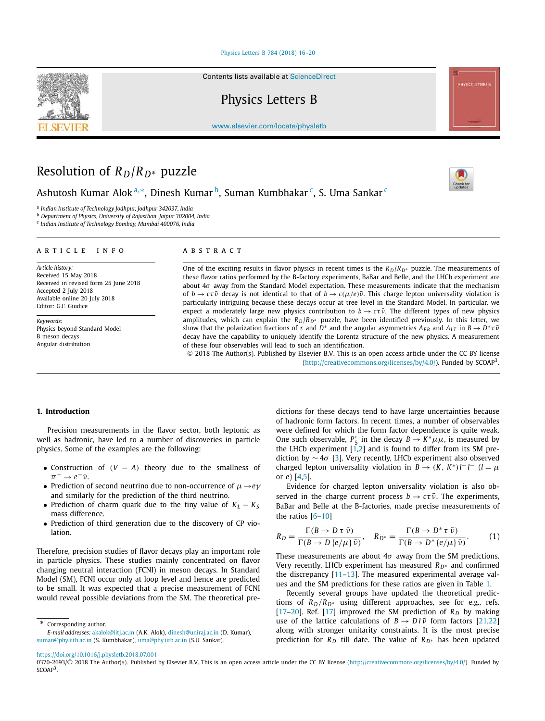#### Physics Letters B 784 (2018) 16–20

Contents lists available at ScienceDirect

# Physics Letters B

www.elsevier.com/locate/physletb

# Resolution of  $R_D/R_{D*}$  puzzle

Ashutosh Kumar Alok<sup>a,</sup>\*, Dinesh Kumar <sup>b</sup>, Suman Kumbhakar <sup>c</sup>, S. Uma Sankar <sup>c</sup>

a *Indian Institute of Technology Jodhpur, Jodhpur 342037, India*

<sup>b</sup> *Department of Physics, University of Rajasthan, Jaipur 302004, India*

c *Indian Institute of Technology Bombay, Mumbai 400076, India*

## A R T I C L E I N F O A B S T R A C T

*Article history:* Received 15 May 2018 Received in revised form 25 June 2018 Accepted 2 July 2018 Available online 20 July 2018 Editor: G.F. Giudice

*Keywords:* Physics beyond Standard Model B meson decays Angular distribution

One of the exciting results in flavor physics in recent times is the *RD*/*RD*<sup>∗</sup> puzzle. The measurements of these flavor ratios performed by the B-factory experiments, BaBar and Belle, and the LHCb experiment are about  $4\sigma$  away from the Standard Model expectation. These measurements indicate that the mechanism of  $b \to c\tau\bar{\nu}$  decay is not identical to that of  $b \to c(\mu/e)\bar{\nu}$ . This charge lepton universality violation is particularly intriguing because these decays occur at tree level in the Standard Model. In particular, we expect a moderately large new physics contribution to  $b \to c\tau \bar{\nu}$ . The different types of new physics amplitudes, which can explain the *RD*/*RD*<sup>∗</sup> puzzle, have been identified previously. In this letter, we show that the polarization fractions of  $\tau$  and  $D^*$  and the angular asymmetries  $A_{FB}$  and  $A_{LT}$  in  $B \to D^* \tau \bar{\nu}$ decay have the capability to uniquely identify the Lorentz structure of the new physics. A measurement of these four observables will lead to such an identification.

 2018 The Author(s). Published by Elsevier B.V. This is an open access article under the CC BY license (http://creativecommons.org/licenses/by/4.0/). Funded by SCOAP<sup>3</sup>.

## **1. Introduction**

Precision measurements in the flavor sector, both leptonic as well as hadronic, have led to a number of discoveries in particle physics. Some of the examples are the following:

- Construction of (*<sup>V</sup>* − *<sup>A</sup>*) theory due to the smallness of  $\pi^- \to e^- \bar{\nu}.$
- Prediction of second neutrino due to non-occurrence of  $\mu \rightarrow e\gamma$ and similarly for the prediction of the third neutrino.
- Prediction of charm quark due to the tiny value of  $K_L K_S$ mass difference.
- Prediction of third generation due to the discovery of CP violation.

Therefore, precision studies of flavor decays play an important role in particle physics. These studies mainly concentrated on flavor changing neutral interaction (FCNI) in meson decays. In Standard Model (SM), FCNI occur only at loop level and hence are predicted to be small. It was expected that a precise measurement of FCNI would reveal possible deviations from the SM. The theoretical pre-

Corresponding author.

dictions for these decays tend to have large uncertainties because of hadronic form factors. In recent times, a number of observables were defined for which the form factor dependence is quite weak. One such observable,  $P'_5$  in the decay  $B \to K^* \mu \mu$ , is measured by the LHCb experiment  $[\tilde{1,2}]$  and is found to differ from its SM prediction by  $\sim$  4 $\sigma$  [3]. Very recently, LHCb experiment also observed charged lepton universality violation in *B* →  $(K, K^*)$ *l*<sup>+</sup>*l*<sup>-</sup> (*l* =  $\mu$ or *e*) [4,5].

Evidence for charged lepton universality violation is also observed in the charge current process  $b \rightarrow c\tau \bar{\nu}$ . The experiments, BaBar and Belle at the B-factories, made precise measurements of the ratios [6–10]

$$
R_D = \frac{\Gamma(B \to D \tau \bar{\nu})}{\Gamma(B \to D \{e/\mu\} \bar{\nu})}, \quad R_{D^*} = \frac{\Gamma(B \to D^* \tau \bar{\nu})}{\Gamma(B \to D^* \{e/\mu\} \bar{\nu})}.
$$
 (1)

These measurements are about  $4\sigma$  away from the SM predictions. Very recently, LHCb experiment has measured *RD*<sup>∗</sup> and confirmed the discrepancy [11–13]. The measured experimental average values and the SM predictions for these ratios are given in Table 1.

Recently several groups have updated the theoretical predictions of  $R_D/R_{D*}$  using different approaches, see for e.g., refs. [17–20]. Ref. [17] improved the SM prediction of  $R<sub>D</sub>$  by making use of the lattice calculations of  $B \to D l \bar{\nu}$  form factors [21,22] along with stronger unitarity constraints. It is the most precise prediction for *R<sup>D</sup>* till date. The value of *RD*<sup>∗</sup> has been updated

https://doi.org/10.1016/j.physletb.2018.07.001







*E-mail addresses:* akalok@iitj.ac.in (A.K. Alok), dinesh@uniraj.ac.in (D. Kumar), suman@phy.iitb.ac.in (S. Kumbhakar), uma@phy.iitb.ac.in (S.U. Sankar).

<sup>0370-2693/© 2018</sup> The Author(s). Published by Elsevier B.V. This is an open access article under the CC BY license (http://creativecommons.org/licenses/by/4.0/). Funded by  $SCOAP<sup>3</sup>$ .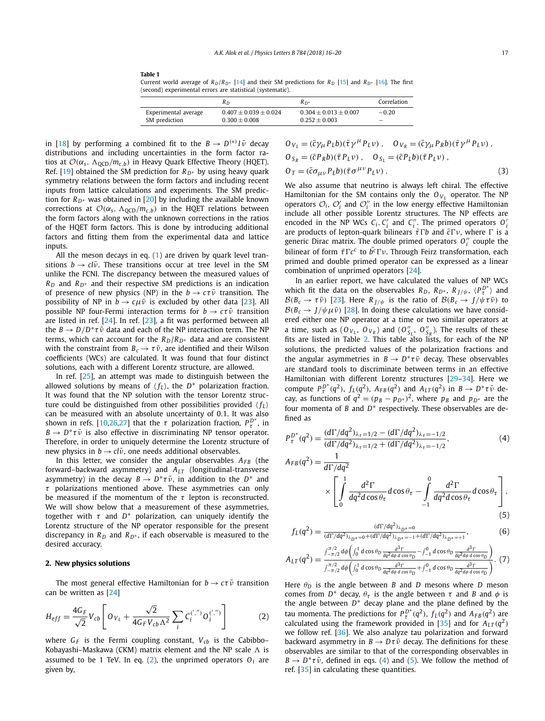#### **Table 1**

Current world average of  $R_D/R_{D*}$  [14] and their SM predictions for  $R_D$  [15] and  $R_{D*}$  [16]. The first (second) experimental errors are statistical (systematic).

|                                       | Кn                                             | $R_{D*}$                                   | Correlation |
|---------------------------------------|------------------------------------------------|--------------------------------------------|-------------|
| Experimental average<br>SM prediction | $0.407 \pm 0.039 \pm 0.024$<br>$0.300 + 0.008$ | $0.304 + 0.013 + 0.007$<br>$0.252 + 0.003$ | $-0.20$     |
|                                       |                                                |                                            |             |

in [18] by performing a combined fit to the  $B \to D^{(*)}/\bar{\nu}$  decay distributions and including uncertainties in the form factor ratios at  $\mathcal{O}(\alpha_s, \Lambda_{\text{QCD}}/m_{c,b})$  in Heavy Quark Effective Theory (HQET). Ref. [19] obtained the SM prediction for  $R_{D*}$  by using heavy quark symmetry relations between the form factors and including recent inputs from lattice calculations and experiments. The SM prediction for  $R_{D^*}$  was obtained in [20] by including the available known corrections at  $\mathcal{O}(\alpha_s, \Lambda_{\text{OCD}}/m_{c,b})$  in the HQET relations between the form factors along with the unknown corrections in the ratios of the HQET form factors. This is done by introducing additional factors and fitting them from the experimental data and lattice inputs.

All the meson decays in eq.  $(1)$  are driven by quark level transitions  $b \rightarrow c l \bar{\nu}$ . These transitions occur at tree level in the SM unlike the FCNI. The discrepancy between the measured values of *R<sup>D</sup>* and *RD*<sup>∗</sup> and their respective SM predictions is an indication of presence of new physics (NP) in the  $b \to c\tau\bar{\nu}$  transition. The possibility of NP in  $b \rightarrow c \mu \bar{\nu}$  is excluded by other data [23]. All possible NP four-Fermi interaction terms for  $b \to c\tau\bar{\nu}$  transition are listed in ref. [24]. In ref. [23], a fit was performed between all the  $B \to D/D^* \tau \bar{\nu}$  data and each of the NP interaction term. The NP terms, which can account for the  $R_D/R_{D*}$  data and are consistent with the constraint from  $B_c \rightarrow \tau \bar{\nu}$ , are identified and their Wilson coefficients (WCs) are calculated. It was found that four distinct solutions, each with a different Lorentz structure, are allowed.

In ref. [25], an attempt was made to distinguish between the allowed solutions by means of  $\langle f_L \rangle$ , the  $D^*$  polarization fraction. It was found that the NP solution with the tensor Lorentz structure could be distinguished from other possibilities provided  $\langle f_L \rangle$ can be measured with an absolute uncertainty of 0.1. It was also shown in refs. [10,26,27] that the  $\tau$  polarization fraction,  $P_{\tau}^{D^*}$ , in  $B \to D^* \tau \bar{\nu}$  is also effective in discriminating NP tensor operator. Therefore, in order to uniquely determine the Lorentz structure of new physics in  $b \rightarrow c l \bar{\nu}$ , one needs additional observables.

In this letter, we consider the angular observables  $A_{FB}$  (the forward–backward asymmetry) and *ALT* (longitudinal-transverse asymmetry) in the decay  $B \to D^* \tau \bar{\nu}$ , in addition to the  $D^*$  and  $\tau$  polarizations mentioned above. These asymmetries can only be measured if the momentum of the  $\tau$  lepton is reconstructed. We will show below that a measurement of these asymmetries, together with  $\tau$  and  $D^*$  polarization, can uniquely identify the Lorentz structure of the NP operator responsible for the present discrepancy in  $R<sub>D</sub>$  and  $R<sub>D</sub>$ <sup>\*</sup>, if each observable is measured to the desired accuracy.

# **2. New physics solutions**

The most general effective Hamiltonian for  $b \to c\tau\bar{\nu}$  transition can be written as [24]

$$
H_{eff} = \frac{4G_F}{\sqrt{2}} V_{cb} \left[ O_{V_L} + \frac{\sqrt{2}}{4G_F V_{cb} \Lambda^2} \sum_i C_i^{(','')}\, O_i^{(','')} \right] \tag{2}
$$

where  $G_F$  is the Fermi coupling constant,  $V_{cb}$  is the Cabibbo– Kobayashi–Maskawa (CKM) matrix element and the NP scale  $\Lambda$  is assumed to be 1 TeV. In eq.  $(2)$ , the unprimed operators  $O_i$  are given by,

| $O_{V_I} = (\bar{c}\gamma_\mu P_L b)(\bar{\tau}\gamma^\mu P_L \nu)$ , $O_{V_R} = (\bar{c}\gamma_\mu P_R b)(\bar{\tau}\gamma^\mu P_L \nu)$ , |     |
|---------------------------------------------------------------------------------------------------------------------------------------------|-----|
| $O_{S_R} = (\overline{c} P_R b)(\overline{\tau} P_L \nu)$ , $O_{S_I} = (\overline{c} P_L b)(\overline{\tau} P_L \nu)$ ,                     |     |
| $O_T = (\bar{c}\sigma_{\mu\nu}P_Lb)(\bar{\tau}\sigma^{\mu\nu}P_L\nu)$ .                                                                     | (3) |

We also assume that neutrino is always left chiral. The effective Hamiltonian for the SM contains only the  $O_{\mathit{V}_L}$  operator. The NP operators  $\mathcal{O}_i$ ,  $\mathcal{O}'_i$  and  $\mathcal{O}''_i$  in the low energy effective Hamiltonian include all other possible Lorentz structures. The NP effects are encoded in the NP WCs  $C_i$ ,  $C'_i$  and  $C''_i$ . The primed operators  $O'_i$ are products of lepton-quark bilinears  $\bar{\tau} \Gamma b$  and  $\bar{c} \Gamma v$ , where  $\Gamma$  is a generic Dirac matrix. The double primed operators  $O_i^{\prime\prime}$  couple the bilinear of form  $\bar{\tau} \Gamma c^c$  to  $b^c \Gamma v$ . Through Feirz transformation, each primed and double primed operator can be expressed as a linear combination of unprimed operators [24].

In an earlier report, we have calculated the values of NP WCs which fit the data on the observables  $R_D$ ,  $R_D^*$ ,  $R_J/\psi$ ,  $\langle P_\tau^{D^*}\rangle$  and  $\mathcal{B}(B_c \to \tau \bar{\nu})$  [23]. Here  $R_{J/\psi}$  is the ratio of  $\mathcal{B}(B_c \to J/\psi \tau \bar{\nu})$  to  $B(B_c \to J/\psi \mu \bar{\nu})$  [28]. In doing these calculations we have considered either one NP operator at a time or two similar operators at a time, such as  $(O_{V_L}, O_{V_R})$  and  $(O''_{S_L}, O''_{S_R})$ . The results of these fits are listed in Table 2. This table also lists, for each of the NP solutions, the predicted values of the polarization fractions and the angular asymmetries in  $B \to D^* \tau \bar{\nu}$  decay. These observables are standard tools to discriminate between terms in an effective Hamiltonian with different Lorentz structures [29–34]. Here we compute  $P_{\tau}^{D^*}(q^2)$ ,  $f_L(q^2)$ ,  $A_{FB}(q^2)$  and  $A_{LT}(q^2)$  in  $B \to D^* \tau \bar{\nu}$  decay, as functions of  $q^2 = (p_B - p_{D^*})^2$ , where  $p_B$  and  $p_{D^*}$  are the four momenta of *B* and *D*<sup>∗</sup> respectively. These observables are defined as

$$
P_{\tau}^{D^*}(q^2) = \frac{(d\Gamma/dq^2)_{\lambda_{\tau}=1/2} - (d\Gamma/dq^2)_{\lambda_{\tau}=-1/2}}{(d\Gamma/dq^2)_{\lambda_{\tau}=1/2} + (d\Gamma/dq^2)_{\lambda_{\tau}=-1/2}},
$$
\n(4)

$$
A_{FB}(q^2) = \frac{1}{d\Gamma/dq^2} \times \left[ \int_0^1 \frac{d^2\Gamma}{dq^2 d\cos\theta_\tau} d\cos\theta_\tau - \int_{-1}^0 \frac{d^2\Gamma}{dq^2 d\cos\theta_\tau} d\cos\theta_\tau \right],
$$
\n(5)

$$
f_L(q^2) = \frac{(d\Gamma/dq^2)_{\lambda_{D^*}=0}}{(d\Gamma/dq^2)_{\lambda_{D^*}=0} + (d\Gamma/dq^2)_{\lambda_{D^*}=0} + (d\Gamma/dq^2)_{\lambda_{D^*}=+1}},
$$
(6)

$$
A_{LT}(q^2) = \frac{\int_{-\pi/2}^{\pi/2} d\phi \left( \int_0^1 d\cos\theta_D \frac{d^3 \Gamma}{dq^2 d\phi \, d\cos\theta_D} - \int_{-1}^0 d\cos\theta_D \frac{d^3 \Gamma}{dq^2 d\phi \, d\cos\theta_D} \right)}{\int_{-\pi/2}^{\pi/2} d\phi \left( \int_0^1 d\cos\theta_D \frac{d^3 \Gamma}{dq^2 d\phi \, d\cos\theta_D} + \int_{-1}^0 d\cos\theta_D \frac{d^3 \Gamma}{dq^2 d\phi \, d\cos\theta_D} \right)}.
$$
(7)

Here  $\theta_D$  is the angle between *B* and *D* mesons where *D* meson comes from  $D^*$  decay,  $\theta_{\tau}$  is the angle between  $\tau$  and *B* and  $\phi$  is the angle between *D* ∗ decay plane and the plane defined by the tau momenta. The predictions for  $P_{\tau}^{D^*}(q^2)$ ,  $f_L(q^2)$  and  $A_{FB}(q^2)$  are calculated using the framework provided in [35] and for  $A_{LT}(q^2)$ we follow ref. [36]. We also analyze tau polarization and forward backward asymmetry in  $B \to D\tau\bar{\nu}$  decay. The definitions for these observables are similar to that of the corresponding observables in  $B \to D^* \tau \bar{\nu}$ , defined in eqs. (4) and (5). We follow the method of ref. [35] in calculating these quantities.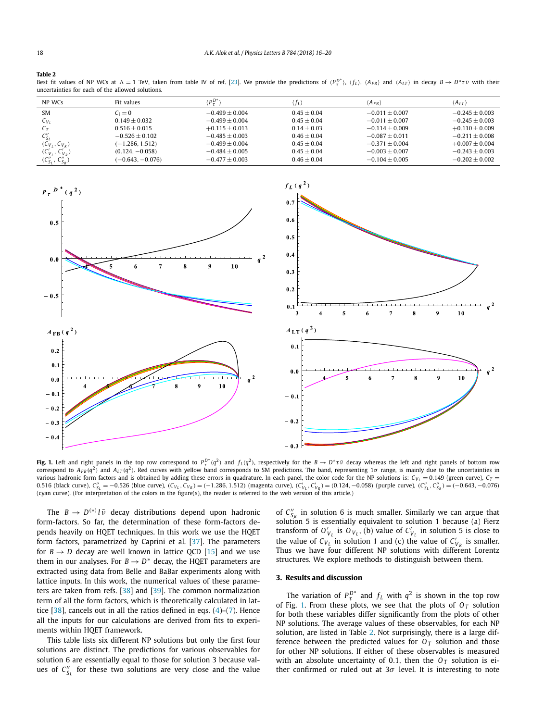#### **Table 2**

Best fit values of NP WCs at  $\Lambda = 1$  TeV, taken from table IV of ref. [23]. We provide the predictions of  $\langle P_t^{\mathcal{P}^*}\rangle$ ,  $\langle f_L \rangle$ ,  $\langle A_{FB} \rangle$  and  $\langle A_{LT} \rangle$  in decay  $B \to D^* \tau \bar{\nu}$  with their uncertainties for each of the allowed solutions.

| NP WCs                   | Fit values         | $\langle P_{\tau}^{D^*}$ | $\langle f_L \rangle$ | $\langle A_{FB} \rangle$ | $\langle A_{LT} \rangle$ |
|--------------------------|--------------------|--------------------------|-----------------------|--------------------------|--------------------------|
| <b>SM</b>                | $C_i=0$            | $-0.499 + 0.004$         | $0.45 + 0.04$         | $-0.011 + 0.007$         | $-0.245 + 0.003$         |
| $C_{V}$                  | $0.149 + 0.032$    | $-0.499 + 0.004$         | $0.45 + 0.04$         | $-0.011 + 0.007$         | $-0.245 + 0.003$         |
|                          | $0.516 + 0.015$    | $+0.115 + 0.013$         | $0.14 + 0.03$         | $-0.114 + 0.009$         | $+0.110 \pm 0.009$       |
|                          | $-0.526 + 0.102$   | $-0.485 + 0.003$         | $0.46 + 0.04$         | $-0.087 + 0.011$         | $-0.211 + 0.008$         |
| $(C_{V_1}, C_{V_R})$     | $(-1.286, 1.512)$  | $-0.499 + 0.004$         | $0.45 + 0.04$         | $-0.371 + 0.004$         | $+0.007 \pm 0.004$       |
| $(C'_{V_L}, C'_{V_R})$   | $(0.124, -0.058)$  | $-0.484 + 0.005$         | $0.45 + 0.04$         | $-0.003 + 0.007$         | $-0.243 + 0.003$         |
| $(C''_{S_L}, C''_{S_R})$ | $(-0.643, -0.076)$ | $-0.477 + 0.003$         | $0.46 + 0.04$         | $-0.104 + 0.005$         | $-0.202 + 0.002$         |



**Fig. 1.** Left and right panels in the top row correspond to  $P_t^D(q^2)$  and  $f_L(q^2)$ , respectively for the  $B \to D^* \tau \bar{\nu}$  decay whereas the left and right panels of bottom row correspond to  $A_{FB}(q^2)$  and  $A_{LT}(q^2)$ . Red curves with yellow band corresponds to SM predictions. The band, representing 1 $\sigma$  range, is mainly due to the uncertainties in various hadronic form factors and is obtained by adding these errors in quadrature. In each panel, the color code for the NP solutions is:  $C_{V_I} = 0.149$  (green curve),  $C_T$ 0.516 (black curve),  $C'_{S_L} = -0.526$  (blue curve),  $(C_{V_L}, C_{V_R}) = (-1.286, 1.512)$  (magenta curve),  $(C'_{V_L}, C'_{V_R}) = (0.124, -0.058)$  (purple curve),  $(C'_{S_L}, C'_{S_R}) = (-0.643, -0.076)$ <br>(cyan curve). (For interpretation of the colors i

The  $B \to D^{(*)} l \bar{\nu}$  decay distributions depend upon hadronic form-factors. So far, the determination of these form-factors depends heavily on HQET techniques. In this work we use the HQET form factors, parametrized by Caprini et al. [37]. The parameters for  $B \rightarrow D$  decay are well known in lattice QCD [15] and we use them in our analyses. For  $B \to D^*$  decay, the HQET parameters are extracted using data from Belle and BaBar experiments along with lattice inputs. In this work, the numerical values of these parameters are taken from refs. [38] and [39]. The common normalization term of all the form factors, which is theoretically calculated in lattice  $[38]$ , cancels out in all the ratios defined in eqs.  $(4)-(7)$ . Hence all the inputs for our calculations are derived from fits to experiments within HQET framework.

This table lists six different NP solutions but only the first four solutions are distinct. The predictions for various observables for solution 6 are essentially equal to those for solution 3 because values of  $C_{S_L}''$  for these two solutions are very close and the value

of  $C''_{S_R}$  in solution 6 is much smaller. Similarly we can argue that solution 5 is essentially equivalent to solution 1 because (a) Fierz transform of  $O'_{V_L}$  is  $O_{V_L}$ , (b) value of  $C'_{V_L}$  in solution 5 is close to the value of  $C_{V_L}$  in solution 1 and (c) the value of  $C'_{V_R}$  is smaller. Thus we have four different NP solutions with different Lorentz structures. We explore methods to distinguish between them.

# **3. Results and discussion**

The variation of  $P_{\tau}^{D^*}$  and  $f_L$  with  $q^2$  is shown in the top row of Fig. 1. From these plots, we see that the plots of  $O<sub>T</sub>$  solution for both these variables differ significantly from the plots of other NP solutions. The average values of these observables, for each NP solution, are listed in Table 2. Not surprisingly, there is a large difference between the predicted values for  $O<sub>T</sub>$  solution and those for other NP solutions. If either of these observables is measured with an absolute uncertainty of 0.1, then the  $O<sub>T</sub>$  solution is either confirmed or ruled out at  $3\sigma$  level. It is interesting to note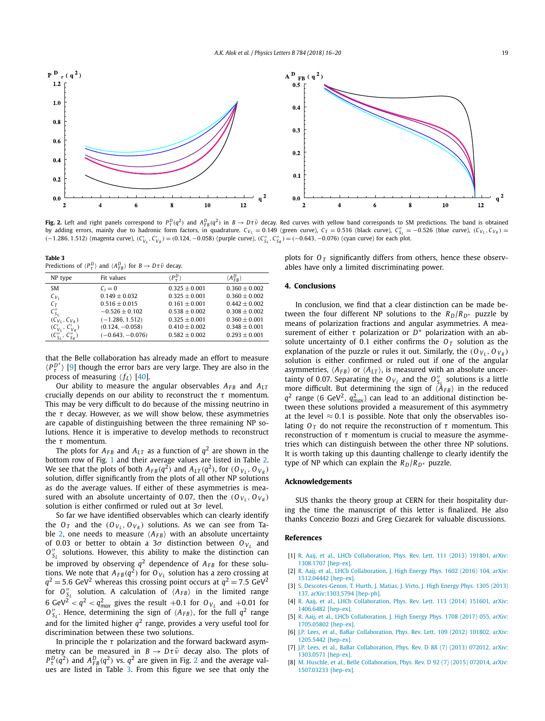

**Fig. 2.** Left and right panels correspond to  $P_t^D(q^2)$  and  $A_{FB}^D(q^2)$  in  $B \to D\tau\bar{\nu}$  decay. Red curves with yellow band corresponds to SM predictions. The band is obtained by adding errors, mainly due to hadronic form factors, in quadrature.  $C_{V_L} = 0.149$  (green curve),  $C_T = 0.516$  (black curve),  $C_{S_L}'' = -0.526$  (blue curve),  $(C_{V_L}, C_{V_R}) =$ (-1.286, 1.512) (magenta curve), ( $C'_{V_L}, C'_{V_R}$ ) = (0.124, -0.058) (purple curve), ( $C''_{S_L}, C''_{S_R}$ ) = (-0.643, -0.076) (cyan curve) for each plot.

**Table 3** Predictions of  $\langle P_\tau^D \rangle$  and  $\langle A_{FB}^D \rangle$  for  $B \to D \tau \bar{\nu}$  decay.

| NP type                  | Fit values         | $\langle P_{\tau}^D \rangle$ | $\langle A_{FR}^D \rangle$ |
|--------------------------|--------------------|------------------------------|----------------------------|
| <b>SM</b>                | $C_i=0$            | $0.325 + 0.001$              | $0.360 + 0.002$            |
| $C_{V_I}$                | $0.149 + 0.032$    | $0.325 + 0.001$              | $0.360 + 0.002$            |
| $C_T$                    | $0.516 + 0.015$    | $0.161 + 0.001$              | $0.442 + 0.002$            |
| $C''_{S_L}$              | $-0.526 + 0.102$   | $0.538 + 0.002$              | $0.308 + 0.002$            |
| $(C_{V_1}, C_{V_2})$     | $(-1.286, 1.512)$  | $0.325 + 0.001$              | $0.360 + 0.001$            |
| $(C'_{V_1}, C'_{V_p})$   | $(0.124, -0.058)$  | $0.410 + 0.002$              | $0.348 + 0.001$            |
| $(C''_{S_1}, C''_{S_2})$ | $(-0.643, -0.076)$ | $0.582 + 0.002$              | $0.293 + 0.001$            |

that the Belle collaboration has already made an effort to measure  $\langle P_\tau^{D^*} \rangle$  [9] though the error bars are very large. They are also in the process of measuring  $\langle f_L \rangle$  [40].

Our ability to measure the angular observables  $A_{FB}$  and  $A_{LT}$ crucially depends on our ability to reconstruct the  $\tau$  momentum. This may be very difficult to do because of the missing neutrino in the  $\tau$  decay. However, as we will show below, these asymmetries are capable of distinguishing between the three remaining NP solutions. Hence it is imperative to develop methods to reconstruct the  $\tau$  momentum.

The plots for  $A_{FB}$  and  $A_{LT}$  as a function of  $q^2$  are shown in the bottom row of Fig. 1 and their average values are listed in Table 2. We see that the plots of both  $A_{FB}(q^2)$  and  $A_{LT}(q^2)$ , for  $(O_{V_L}, O_{V_R})$ solution, differ significantly from the plots of all other NP solutions as do the average values. If either of these asymmetries is measured with an absolute uncertainty of 0.07, then the  $(O_{V_L}, O_{V_R})$ solution is either confirmed or ruled out at  $3\sigma$  level.

So far we have identified observables which can clearly identify the  $O_T$  and the  $(O_{V_L}, O_{V_R})$  solutions. As we can see from Table 2, one needs to measure  $\langle A_{FB} \rangle$  with an absolute uncertainty of 0.03 or better to obtain a 3 $\sigma$  distinction between  $O_{V_L}$  and  $O_{S_L}^{\prime\prime}$  solutions. However, this ability to make the distinction can be improved by observing  $q^2$  dependence of  $A_{FB}$  for these solutions. We note that  $A_{FB}(q^2)$  for  $O_{V_L}$  solution has a zero crossing at  $q^2 = 5.6$  GeV<sup>2</sup> whereas this crossing point occurs at  $q^2 = 7.5$  GeV<sup>2</sup> for  $O_{S_L}^{\prime\prime}$  solution. A calculation of  $\langle A_{FB}\rangle$  in the limited range  $6 \text{ GeV}^2 < q^2 < q_{max}^2$  gives the result +0.1 for  $O_{V_L}$  and +0.01 for  $O_{S_L}^{\prime\prime}$ . Hence, determining the sign of  $\langle A_{FB} \rangle$ , for the full  $q^2$  range and for the limited higher  $q^2$  range, provides a very useful tool for discrimination between these two solutions.

In principle the  $\tau$  polarization and the forward backward asymmetry can be measured in  $B \to D\tau\bar{\nu}$  decay also. The plots of  $P_{\tau}^{D}(q^2)$  and  $A_{FB}^{D}(q^2)$  vs.  $q^2$  are given in Fig. 2 and the average values are listed in Table 3. From this figure we see that only the

plots for  $O_T$  significantly differs from others, hence these observables have only a limited discriminating power.

## **4. Conclusions**

In conclusion, we find that a clear distinction can be made between the four different NP solutions to the  $R_D/R_{D*}$  puzzle by means of polarization fractions and angular asymmetries. A measurement of either  $\tau$  polarization or  $D^*$  polarization with an absolute uncertainty of 0.1 either confirms the  $O<sub>T</sub>$  solution as the explanation of the puzzle or rules it out. Similarly, the  $(O_{V_L}, O_{V_R})$ solution is either confirmed or ruled out if one of the angular asymmetries,  $\langle A_{FB} \rangle$  or  $\langle A_{LT} \rangle$ , is measured with an absolute uncertainty of 0.07. Separating the  $O_{V_L}$  and the  $O_{S_L}^{\prime\prime}$  solutions is a little more difficult. But determining the sign of  $\langle A_{FB} \rangle$  in the reduced  $q^2$  range (6 GeV<sup>2</sup>,  $q_{max}^2$ ) can lead to an additional distinction between these solutions provided a measurement of this asymmetry at the level  $\approx$  0.1 is possible. Note that only the observables isolating  $O_T$  do not require the reconstruction of  $\tau$  momentum. This reconstruction of  $\tau$  momentum is crucial to measure the asymmetries which can distinguish between the other three NP solutions. It is worth taking up this daunting challenge to clearly identify the type of NP which can explain the  $R_D/R_{D^*}$  puzzle.

## **Acknowledgements**

SUS thanks the theory group at CERN for their hospitality during the time the manuscript of this letter is finalized. He also thanks Concezio Bozzi and Greg Ciezarek for valuable discussions.

#### **References**

- [1] R. Aaij, et al., LHCb Collaboration, Phys. Rev. Lett. 111 (2013) 191801, arXiv: 1308.1707 [hep-ex].
- [2] R. Aaij, et al., LHCb Collaboration, J. High Energy Phys. 1602 (2016) 104, arXiv: 1512.04442 [hep-ex].
- [3] S. Descotes-Genon, T. Hurth, J. Matias, J. Virto, J. High Energy Phys. 1305 (2013) 137, arXiv:1303.5794 [hep-ph].
- [4] R. Aaij, et al., LHCb Collaboration, Phys. Rev. Lett. 113 (2014) 151601, arXiv: 1406.6482 [hep-ex].
- [5] R. Aaij, et al., LHCb Collaboration, J. High Energy Phys. 1708 (2017) 055, arXiv: 1705.05802 [hep-ex].
- [6] J.P. Lees, et al., BaBar Collaboration, Phys. Rev. Lett. 109 (2012) 101802, arXiv: 1205.5442 [hep-ex].
- [7] J.P. Lees, et al., BaBar Collaboration, Phys. Rev. D 88 (7) (2013) 072012, arXiv: 1303.0571 [hep-ex].
- [8] M. Huschle, et al., Belle Collaboration, Phys. Rev. D 92 (7) (2015) 072014, arXiv: 1507.03233 [hep-ex].